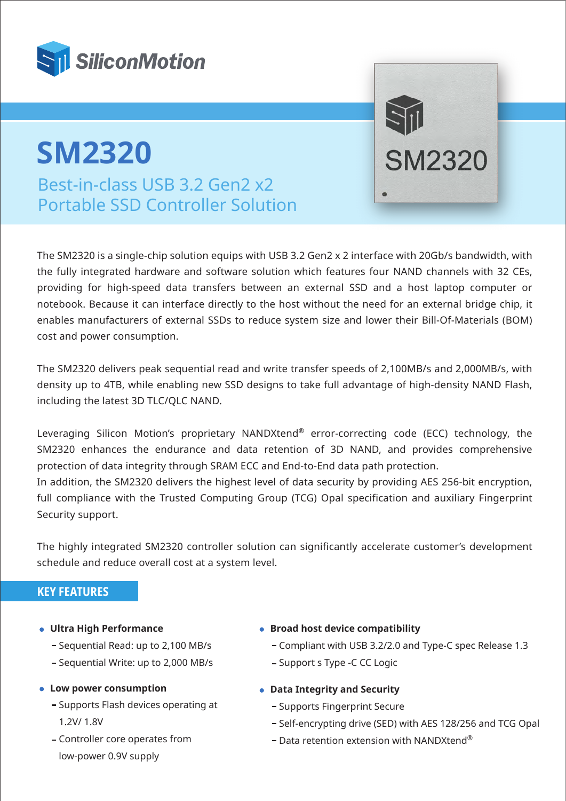

## Best-in-class USB 3.2 Gen2 x2 Portable SSD Controller Solution **SM2320**

The SM2320 is a single-chip solution equips with USB 3.2 Gen2 x 2 interface with 20Gb/s bandwidth, with the fully integrated hardware and software solution which features four NAND channels with 32 CEs, providing for high-speed data transfers between an external SSD and a host laptop computer or notebook. Because it can interface directly to the host without the need for an external bridge chip, it enables manufacturers of external SSDs to reduce system size and lower their Bill-Of-Materials (BOM) cost and power consumption.

The SM2320 delivers peak sequential read and write transfer speeds of 2,100MB/s and 2,000MB/s, with density up to 4TB, while enabling new SSD designs to take full advantage of high-density NAND Flash, including the latest 3D TLC/QLC NAND.

Leveraging Silicon Motion's proprietary NANDXtend® error-correcting code (ECC) technology, the SM2320 enhances the endurance and data retention of 3D NAND, and provides comprehensive protection of data integrity through SRAM ECC and End-to-End data path protection.

In addition, the SM2320 delivers the highest level of data security by providing AES 256-bit encryption, full compliance with the Trusted Computing Group (TCG) Opal specification and auxiliary Fingerprint Security support.

The highly integrated SM2320 controller solution can significantly accelerate customer's development schedule and reduce overall cost at a system level.

## **KEY FEATURES**

- **Ultra High Performance**
	- Sequential Read: up to 2,100 MB/s
	- Sequential Write: up to 2,000 MB/s
- **Low power consumption**
	- Supports Flash devices operating at 1.2V/ 1.8V
	- Controller core operates from low-power 0.9V supply
- **Broad host device compatibility** 
	- Compliant with USB 3.2/2.0 and Type-C spec Release 1.3

 $\preceq$ ill

**SM2320** 

- Support s Type -C CC Logic
- **Data Integrity and Security**
	- Supports Fingerprint Secure
	- Self-encrypting drive (SED) with AES 128/256 and TCG Opal
	- $-$  Data retention extension with NANDXtend®